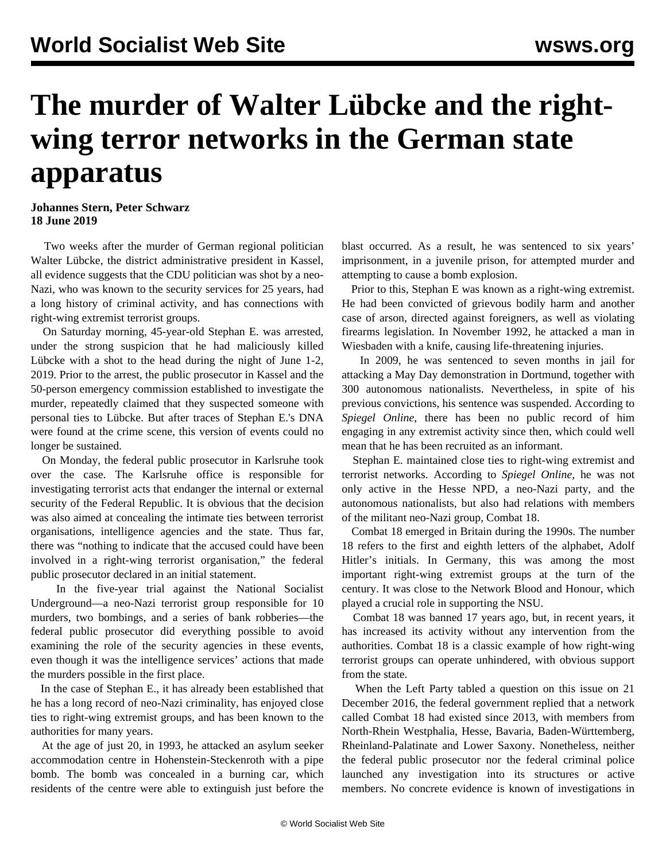## **The murder of Walter Lübcke and the rightwing terror networks in the German state apparatus**

## **Johannes Stern, Peter Schwarz 18 June 2019**

 Two weeks after the [murder](/en/articles/2019/06/06/lueb-j06.html) of German regional politician Walter Lübcke, the district administrative president in Kassel, all evidence suggests that the CDU politician was shot by a neo-Nazi, who was known to the security services for 25 years, had a long history of criminal activity, and has connections with right-wing extremist terrorist groups.

 On Saturday morning, 45-year-old Stephan E. was arrested, under the strong suspicion that he had maliciously killed Lübcke with a shot to the head during the night of June 1-2, 2019. Prior to the arrest, the public prosecutor in Kassel and the 50-person emergency commission established to investigate the murder, repeatedly claimed that they suspected someone with personal ties to Lübcke. But after traces of Stephan E.'s DNA were found at the crime scene, this version of events could no longer be sustained.

 On Monday, the federal public prosecutor in Karlsruhe took over the case. The Karlsruhe office is responsible for investigating terrorist acts that endanger the internal or external security of the Federal Republic. It is obvious that the decision was also aimed at concealing the intimate ties between terrorist organisations, intelligence agencies and the state. Thus far, there was "nothing to indicate that the accused could have been involved in a right-wing terrorist organisation," the federal public prosecutor declared in an initial statement.

 In the five-year trial against the National Socialist Underground—a neo-Nazi terrorist group responsible for 10 murders, two bombings, and a series of bank robberies—the federal public prosecutor did everything possible to avoid examining the role of the security agencies in these events, even though it was the intelligence services' actions that made the murders possible in the first place.

 In the case of Stephan E., it has already been established that he has a long record of neo-Nazi criminality, has enjoyed close ties to right-wing extremist groups, and has been known to the authorities for many years.

 At the age of just 20, in 1993, he attacked an asylum seeker accommodation centre in Hohenstein-Steckenroth with a pipe bomb. The bomb was concealed in a burning car, which residents of the centre were able to extinguish just before the

blast occurred. As a result, he was sentenced to six years' imprisonment, in a juvenile prison, for attempted murder and attempting to cause a bomb explosion.

 Prior to this, Stephan E was known as a right-wing extremist. He had been convicted of grievous bodily harm and another case of arson, directed against foreigners, as well as violating firearms legislation. In November 1992, he attacked a man in Wiesbaden with a knife, causing life-threatening injuries.

 In 2009, he was sentenced to seven months in jail for [attacking](/en/articles/2009/05/nazi-m09.html) a May Day demonstration in Dortmund, together with 300 autonomous nationalists. Nevertheless, in spite of his previous convictions, his sentence was suspended. According to *Spiegel Online*, there has been no public record of him engaging in any extremist activity since then, which could well mean that he has been recruited as an informant.

 Stephan E. maintained close ties to right-wing extremist and terrorist networks. According to *Spiegel Online*, he was not only active in the Hesse NPD, a neo-Nazi party, and the autonomous nationalists, but also had relations with members of the militant neo-Nazi group, Combat 18.

 Combat 18 emerged in Britain during the 1990s. The number 18 refers to the first and eighth letters of the alphabet, Adolf Hitler's initials. In Germany, this was among the most important right-wing extremist groups at the turn of the century. It was close to the Network Blood and Honour, which played a crucial role in supporting the NSU.

 Combat 18 was banned 17 years ago, but, in recent years, it has increased its activity without any intervention from the authorities. Combat 18 is a classic example of how right-wing terrorist groups can operate unhindered, with obvious support from the state.

 When the Left Party tabled a question on this issue on 21 December 2016, the federal government replied that a network called Combat 18 had existed since 2013, with members from North-Rhein Westphalia, Hesse, Bavaria, Baden-Württemberg, Rheinland-Palatinate and Lower Saxony. Nonetheless, neither the federal public prosecutor nor the federal criminal police launched any investigation into its structures or active members. No concrete evidence is known of investigations in